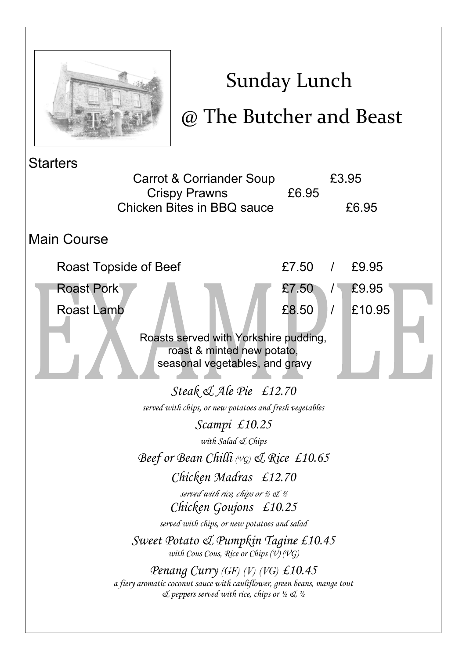

## Sunday Lunch

## @ The Butcher and Beast

**Starters**